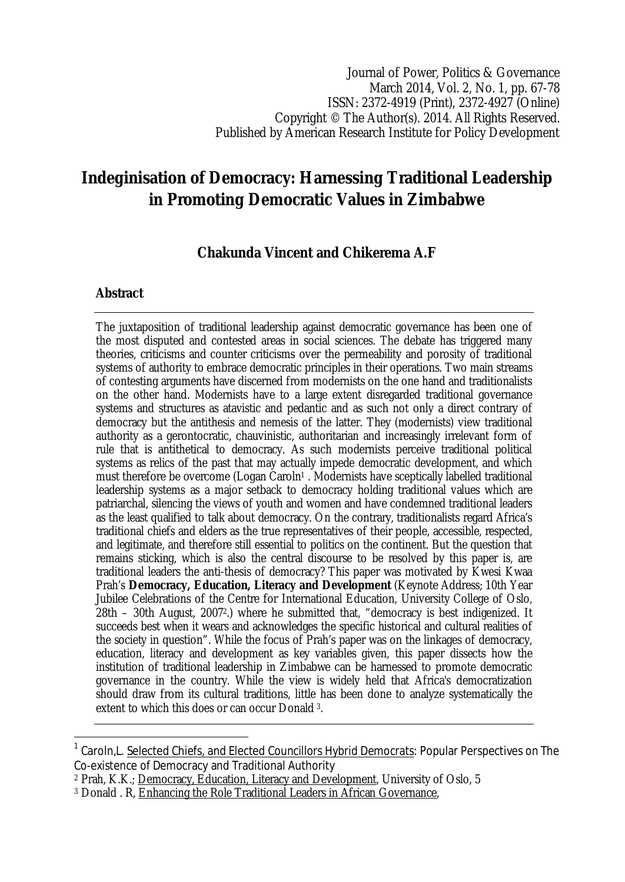# **Indeginisation of Democracy: Harnessing Traditional Leadership in Promoting Democratic Values in Zimbabwe**

# **Chakunda Vincent and Chikerema A.F**

### **Abstract**

The juxtaposition of traditional leadership against democratic governance has been one of the most disputed and contested areas in social sciences. The debate has triggered many theories, criticisms and counter criticisms over the permeability and porosity of traditional systems of authority to embrace democratic principles in their operations. Two main streams of contesting arguments have discerned from modernists on the one hand and traditionalists on the other hand. Modernists have to a large extent disregarded traditional governance systems and structures as atavistic and pedantic and as such not only a direct contrary of democracy but the antithesis and nemesis of the latter. They (modernists) view traditional authority as a gerontocratic, chauvinistic, authoritarian and increasingly irrelevant form of rule that is antithetical to democracy. As such modernists perceive traditional political systems as relics of the past that may actually impede democratic development, and which must therefore be overcome (Logan Caroln<sup>1</sup> . Modernists have sceptically labelled traditional leadership systems as a major setback to democracy holding traditional values which are patriarchal, silencing the views of youth and women and have condemned traditional leaders as the least qualified to talk about democracy. On the contrary, traditionalists regard Africa's traditional chiefs and elders as the true representatives of their people, accessible, respected, and legitimate, and therefore still essential to politics on the continent. But the question that remains sticking, which is also the central discourse to be resolved by this paper is, are traditional leaders the anti-thesis of democracy? This paper was motivated by Kwesi Kwaa Prah's **Democracy, Education, Literacy and Development** (Keynote Address; 10th Year Jubilee Celebrations of the Centre for International Education, University College of Oslo, 28th – 30th August, 2007<sup>2</sup> .) where he submitted that, "democracy is best indigenized. It succeeds best when it wears and acknowledges the specific historical and cultural realities of the society in question". While the focus of Prah's paper was on the linkages of democracy, education, literacy and development as key variables given, this paper dissects how the institution of traditional leadership in Zimbabwe can be harnessed to promote democratic governance in the country. While the view is widely held that Africa's democratization should draw from its cultural traditions, little has been done to analyze systematically the extent to which this does or can occur Donald <sup>3</sup> .

 1 Caroln,L. Selected Chiefs, and Elected Councillors Hybrid Democrats: Popular Perspectives on The Co-existence of Democracy and Traditional Authority

<sup>&</sup>lt;sup>2</sup> Prah, K.K.; Democracy, Education, Literacy and Development, University of Oslo, 5

<sup>&</sup>lt;sup>3</sup> Donald . R, Enhancing the Role Traditional Leaders in African Governance,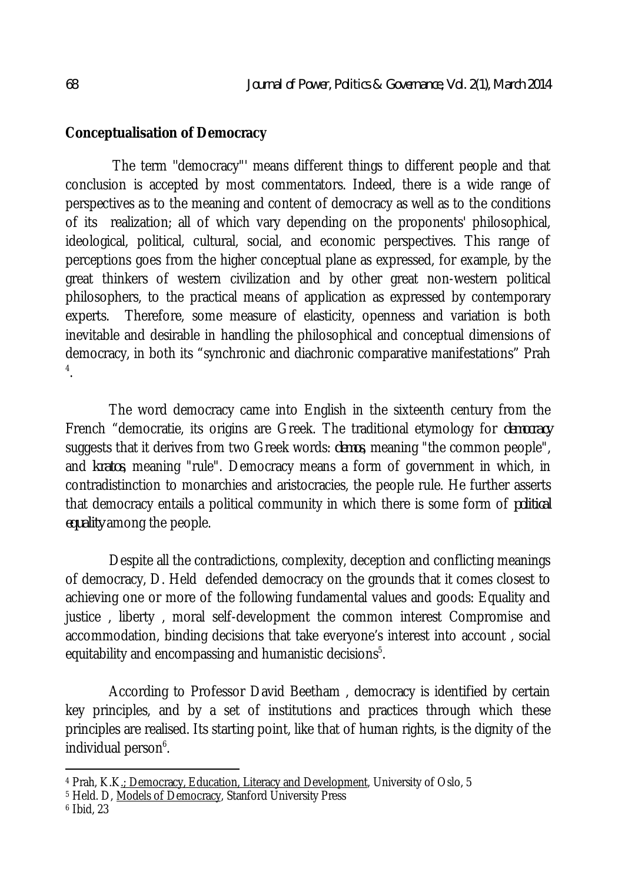## **Conceptualisation of Democracy**

The term ''democracy"' means different things to different people and that conclusion is accepted by most commentators. Indeed, there is a wide range of perspectives as to the meaning and content of democracy as well as to the conditions of its realization; all of which vary depending on the proponents' philosophical, ideological, political, cultural, social, and economic perspectives. This range of perceptions goes from the higher conceptual plane as expressed, for example, by the great thinkers of western civilization and by other great non-western political philosophers, to the practical means of application as expressed by contemporary experts. Therefore, some measure of elasticity, openness and variation is both inevitable and desirable in handling the philosophical and conceptual dimensions of democracy, in both its "synchronic and diachronic comparative manifestations" Prah 4 .

The word democracy came into English in the sixteenth century from the French "democratie, its origins are Greek. The traditional etymology for *democracy* suggests that it derives from two Greek words: *demos*, meaning "the common people", and *kratos*, meaning "rule". Democracy means a form of government in which, in contradistinction to monarchies and aristocracies, the people rule. He further asserts that democracy entails a political community in which there is some form of *political equality* among the people.

Despite all the contradictions, complexity, deception and conflicting meanings of democracy, D. Held defended democracy on the grounds that it comes closest to achieving one or more of the following fundamental values and goods: Equality and justice , liberty , moral self-development the common interest Compromise and accommodation, binding decisions that take everyone's interest into account , social equitability and encompassing and humanistic decisions $^5\!\!$  .

According to Professor David Beetham , democracy is identified by certain key principles, and by a set of institutions and practices through which these principles are realised. Its starting point, like that of human rights, is the dignity of the individual person<sup>6</sup>.

 $\overline{a}$ <sup>4</sup> Prah, K.K<u>.; Democracy, Education, Literacy and Development,</u> University of Oslo, 5

<sup>5</sup> Held. D, Models of Democracy, Stanford University Press

<sup>6</sup> Ibid, 23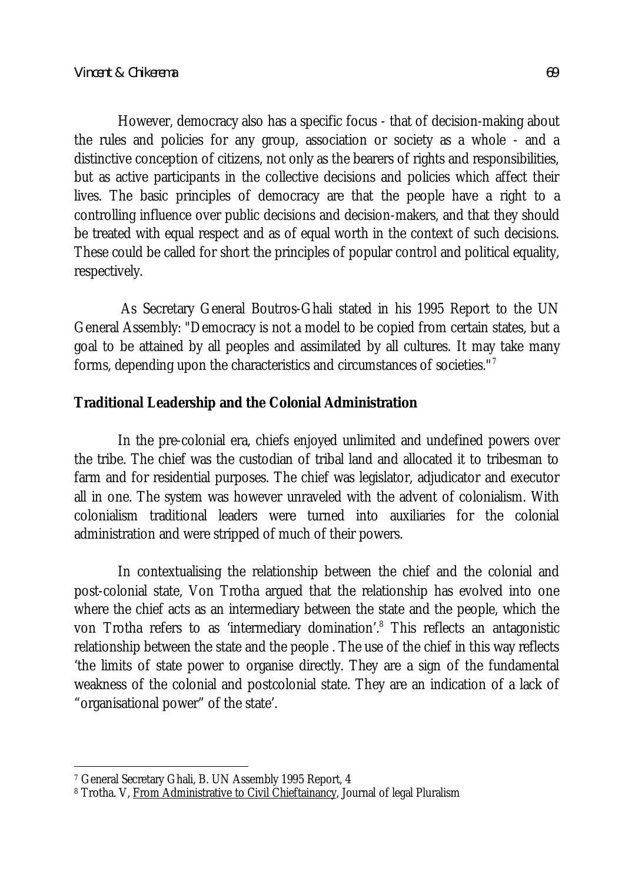However, democracy also has a specific focus - that of decision-making about the rules and policies for any group, association or society as a whole - and a distinctive conception of citizens, not only as the bearers of rights and responsibilities, but as active participants in the collective decisions and policies which affect their lives. The basic principles of democracy are that the people have a right to a controlling influence over public decisions and decision-makers, and that they should be treated with equal respect and as of equal worth in the context of such decisions. These could be called for short the principles of popular control and political equality, respectively.

As Secretary General Boutros-Ghali stated in his 1995 Report to the UN General Assembly: "Democracy is not a model to be copied from certain states, but a goal to be attained by all peoples and assimilated by all cultures. It may take many forms, depending upon the characteristics and circumstances of societies."<sup>7</sup>

## **Traditional Leadership and the Colonial Administration**

In the pre-colonial era, chiefs enjoyed unlimited and undefined powers over the tribe. The chief was the custodian of tribal land and allocated it to tribesman to farm and for residential purposes. The chief was legislator, adjudicator and executor all in one. The system was however unraveled with the advent of colonialism. With colonialism traditional leaders were turned into auxiliaries for the colonial administration and were stripped of much of their powers.

In contextualising the relationship between the chief and the colonial and post-colonial state, Von Trotha argued that the relationship has evolved into one where the chief acts as an intermediary between the state and the people, which the von Trotha refers to as 'intermediary domination'.<sup>8</sup> This reflects an antagonistic relationship between the state and the people . The use of the chief in this way reflects 'the limits of state power to organise directly. They are a sign of the fundamental weakness of the colonial and postcolonial state. They are an indication of a lack of "organisational power" of the state'.

 $\overline{\phantom{a}}$ <sup>7</sup> General Secretary Ghali, B. UN Assembly 1995 Report, 4

<sup>8</sup> Trotha. V, From Administrative to Civil Chieftainancy, Journal of legal Pluralism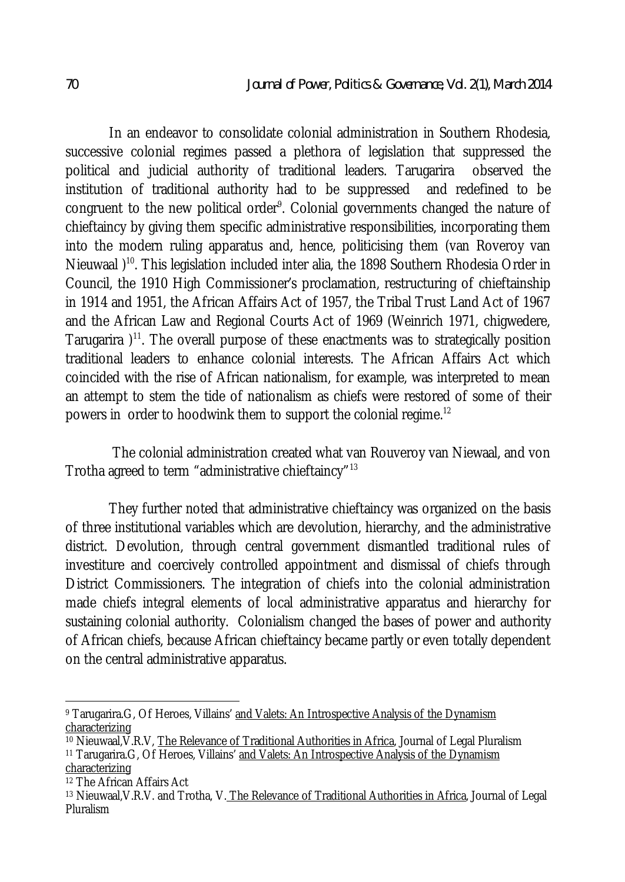In an endeavor to consolidate colonial administration in Southern Rhodesia, successive colonial regimes passed a plethora of legislation that suppressed the political and judicial authority of traditional leaders. Tarugarira observed the institution of traditional authority had to be suppressed and redefined to be congruent to the new political order<sup>9</sup>. Colonial governments changed the nature of chieftaincy by giving them specific administrative responsibilities, incorporating them into the modern ruling apparatus and, hence, politicising them (van Roveroy van Nieuwaal )<sup>10</sup>. This legislation included inter alia, the 1898 Southern Rhodesia Order in Council, the 1910 High Commissioner's proclamation, restructuring of chieftainship in 1914 and 1951, the African Affairs Act of 1957, the Tribal Trust Land Act of 1967 and the African Law and Regional Courts Act of 1969 (Weinrich 1971, chigwedere, Tarugarira  $1^{11}$ . The overall purpose of these enactments was to strategically position traditional leaders to enhance colonial interests. The African Affairs Act which coincided with the rise of African nationalism, for example, was interpreted to mean an attempt to stem the tide of nationalism as chiefs were restored of some of their powers in order to hoodwink them to support the colonial regime.<sup>12</sup>

The colonial administration created what van Rouveroy van Niewaal, and von Trotha agreed to term "administrative chieftaincy"<sup>13</sup>

They further noted that administrative chieftaincy was organized on the basis of three institutional variables which are devolution, hierarchy, and the administrative district. Devolution, through central government dismantled traditional rules of investiture and coercively controlled appointment and dismissal of chiefs through District Commissioners. The integration of chiefs into the colonial administration made chiefs integral elements of local administrative apparatus and hierarchy for sustaining colonial authority. Colonialism changed the bases of power and authority of African chiefs, because African chieftaincy became partly or even totally dependent on the central administrative apparatus.

 $\overline{\phantom{a}}$ 9 Tarugarira.G, Of Heroes, Villains' and Valets: An Introspective Analysis of the Dynamism characterizing

<sup>&</sup>lt;sup>10</sup> Nieuwaal, V.R.V, The Relevance of Traditional Authorities in Africa, Journal of Legal Pluralism <sup>11</sup> Tarugarira.G, Of Heroes, Villains' and Valets: An Introspective Analysis of the Dynamism

characterizing

<sup>12</sup> The African Affairs Act

<sup>13</sup> Nieuwaal,V.R.V. and Trotha, V. The Relevance of Traditional Authorities in Africa, Journal of Legal Pluralism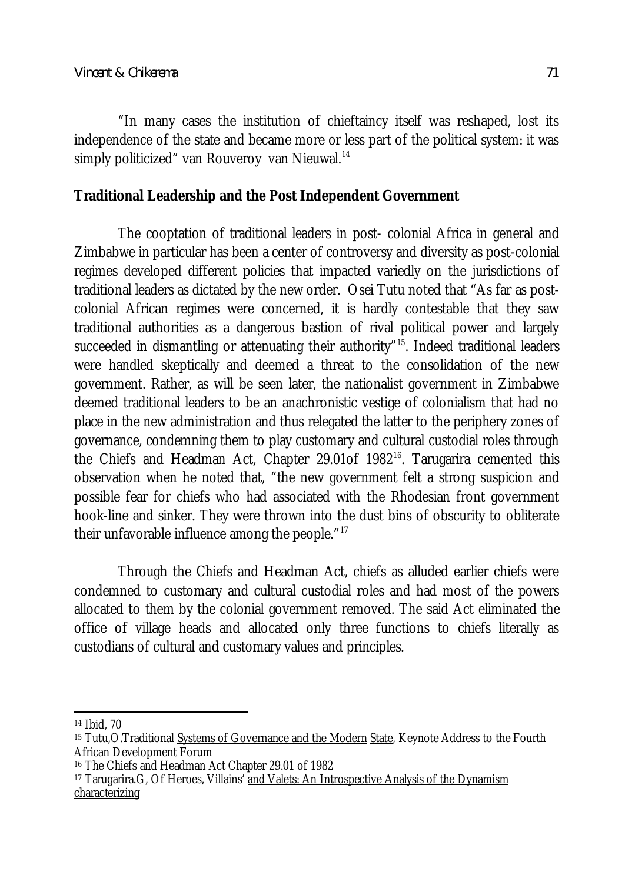"In many cases the institution of chieftaincy itself was reshaped, lost its independence of the state and became more or less part of the political system: it was simply politicized" van Rouveroy van Nieuwal.<sup>14</sup>

## **Traditional Leadership and the Post Independent Government**

The cooptation of traditional leaders in post- colonial Africa in general and Zimbabwe in particular has been a center of controversy and diversity as post-colonial regimes developed different policies that impacted variedly on the jurisdictions of traditional leaders as dictated by the new order. Osei Tutu noted that "As far as postcolonial African regimes were concerned, it is hardly contestable that they saw traditional authorities as a dangerous bastion of rival political power and largely succeeded in dismantling or attenuating their authority"<sup>15</sup>. Indeed traditional leaders were handled skeptically and deemed a threat to the consolidation of the new government. Rather, as will be seen later, the nationalist government in Zimbabwe deemed traditional leaders to be an anachronistic vestige of colonialism that had no place in the new administration and thus relegated the latter to the periphery zones of governance, condemning them to play customary and cultural custodial roles through the Chiefs and Headman Act, Chapter 29.01 of 1982<sup>16</sup>. Tarugarira cemented this observation when he noted that, "the new government felt a strong suspicion and possible fear for chiefs who had associated with the Rhodesian front government hook-line and sinker. They were thrown into the dust bins of obscurity to obliterate their unfavorable influence among the people."<sup>17</sup>

Through the Chiefs and Headman Act, chiefs as alluded earlier chiefs were condemned to customary and cultural custodial roles and had most of the powers allocated to them by the colonial government removed. The said Act eliminated the office of village heads and allocated only three functions to chiefs literally as custodians of cultural and customary values and principles.

 $\overline{a}$ <sup>14</sup> Ibid, 70

<sup>15</sup> Tutu,O.Traditional Systems of Governance and the Modern State, Keynote Address to the Fourth African Development Forum

<sup>16</sup> The Chiefs and Headman Act Chapter 29.01 of 1982

<sup>17</sup> Tarugarira.G, Of Heroes, Villains' and Valets: An Introspective Analysis of the Dynamism characterizing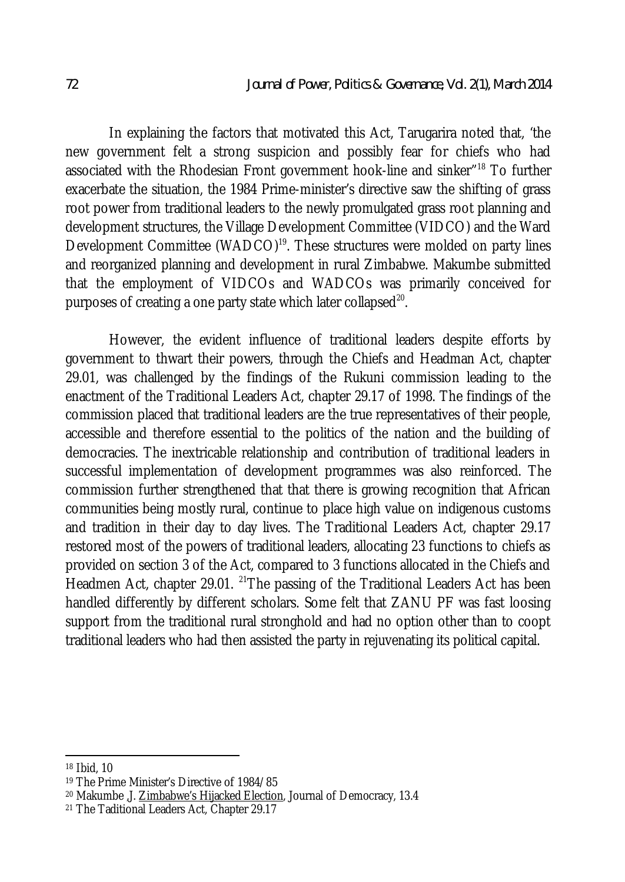In explaining the factors that motivated this Act, Tarugarira noted that, 'the new government felt a strong suspicion and possibly fear for chiefs who had associated with the Rhodesian Front government hook-line and sinker"<sup>18</sup> To further exacerbate the situation, the 1984 Prime-minister's directive saw the shifting of grass root power from traditional leaders to the newly promulgated grass root planning and development structures, the Village Development Committee (VIDCO) and the Ward Development Committee (WADCO)<sup>19</sup>. These structures were molded on party lines and reorganized planning and development in rural Zimbabwe. Makumbe submitted that the employment of VIDCOs and WADCOs was primarily conceived for purposes of creating a one party state which later collapsed $^{\rm 20}.$ 

However, the evident influence of traditional leaders despite efforts by government to thwart their powers, through the Chiefs and Headman Act, chapter 29.01, was challenged by the findings of the Rukuni commission leading to the enactment of the Traditional Leaders Act, chapter 29.17 of 1998. The findings of the commission placed that traditional leaders are the true representatives of their people, accessible and therefore essential to the politics of the nation and the building of democracies. The inextricable relationship and contribution of traditional leaders in successful implementation of development programmes was also reinforced. The commission further strengthened that that there is growing recognition that African communities being mostly rural, continue to place high value on indigenous customs and tradition in their day to day lives. The Traditional Leaders Act, chapter 29.17 restored most of the powers of traditional leaders, allocating 23 functions to chiefs as provided on section 3 of the Act, compared to 3 functions allocated in the Chiefs and Headmen Act, chapter 29.01. <sup>21</sup>The passing of the Traditional Leaders Act has been handled differently by different scholars. Some felt that ZANU PF was fast loosing support from the traditional rural stronghold and had no option other than to coopt traditional leaders who had then assisted the party in rejuvenating its political capital.

 $\overline{a}$ <sup>18</sup> Ibid, 10

<sup>19</sup> The Prime Minister's Directive of 1984/85

<sup>20</sup> Makumbe ,J. Zimbabwe's Hijacked Election, Journal of Democracy, 13.4

<sup>21</sup> The Taditional Leaders Act, Chapter 29.17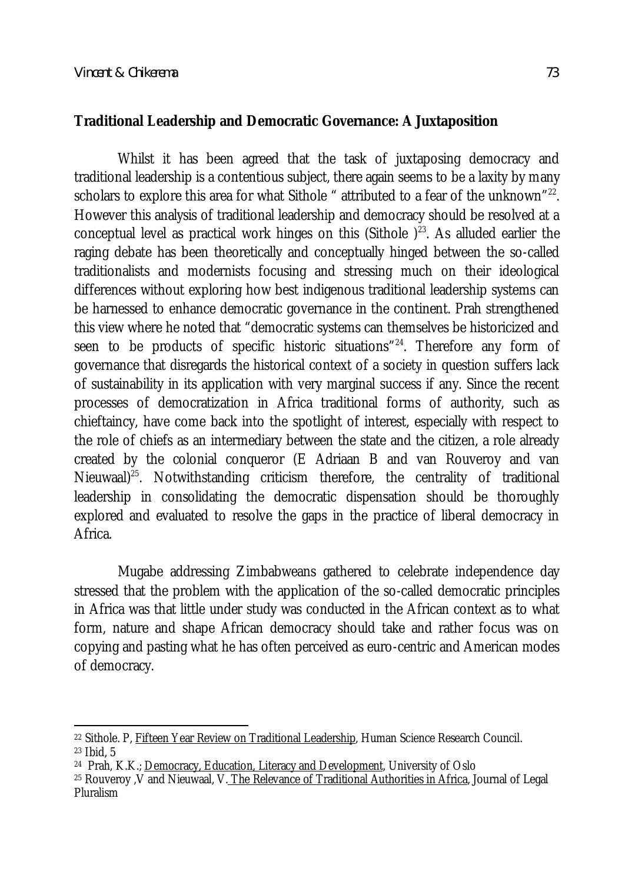#### **Traditional Leadership and Democratic Governance: A Juxtaposition**

Whilst it has been agreed that the task of juxtaposing democracy and traditional leadership is a contentious subject, there again seems to be a laxity by many scholars to explore this area for what Sithole  $\text{``attributed to a fear of the unknown''}^{22}$ . However this analysis of traditional leadership and democracy should be resolved at a conceptual level as practical work hinges on this (Sithole  $)^{23}$ . As alluded earlier the raging debate has been theoretically and conceptually hinged between the so-called traditionalists and modernists focusing and stressing much on their ideological differences without exploring how best indigenous traditional leadership systems can be harnessed to enhance democratic governance in the continent. Prah strengthened this view where he noted that "democratic systems can themselves be historicized and seen to be products of specific historic situations"<sup>24</sup>. Therefore any form of governance that disregards the historical context of a society in question suffers lack of sustainability in its application with very marginal success if any. Since the recent processes of democratization in Africa traditional forms of authority, such as chieftaincy, have come back into the spotlight of interest, especially with respect to the role of chiefs as an intermediary between the state and the citizen, a role already created by the colonial conqueror (E Adriaan B and van Rouveroy and van Nieuwaal)<sup>25</sup>. Notwithstanding criticism therefore, the centrality of traditional leadership in consolidating the democratic dispensation should be thoroughly explored and evaluated to resolve the gaps in the practice of liberal democracy in Africa.

Mugabe addressing Zimbabweans gathered to celebrate independence day stressed that the problem with the application of the so-called democratic principles in Africa was that little under study was conducted in the African context as to what form, nature and shape African democracy should take and rather focus was on copying and pasting what he has often perceived as euro-centric and American modes of democracy.

 $\overline{a}$ <sup>22</sup> Sithole. P, <u>Fifteen Year Review on Traditional Leadership,</u> Human Science Research Council. <sup>23</sup> Ibid, 5

<sup>24</sup> Prah, K.K.; Democracy, Education, Literacy and Development, University of Oslo

<sup>&</sup>lt;sup>25</sup> Rouveroy ,V and Nieuwaal, V. The Relevance of Traditional Authorities in Africa, Journal of Legal Pluralism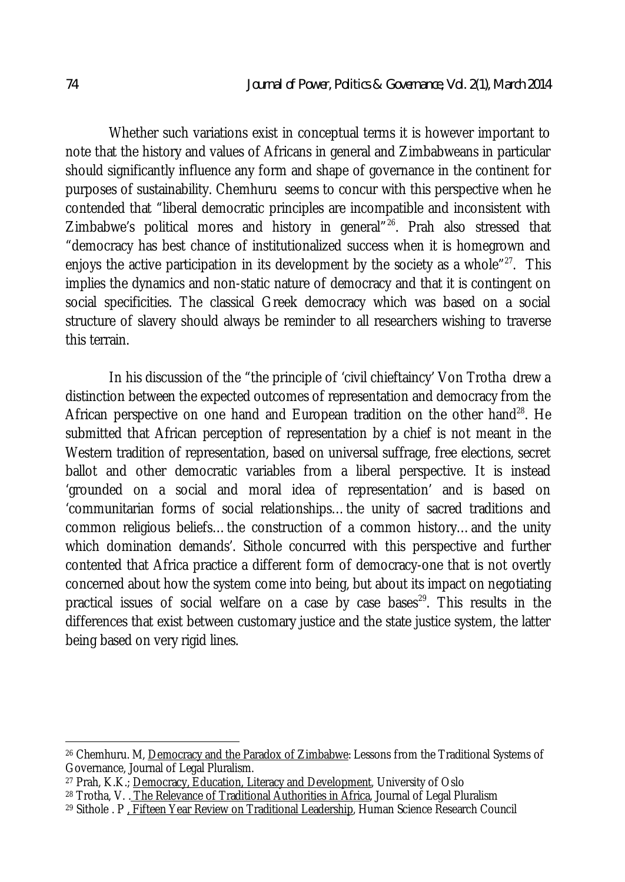Whether such variations exist in conceptual terms it is however important to note that the history and values of Africans in general and Zimbabweans in particular should significantly influence any form and shape of governance in the continent for purposes of sustainability. Chemhuru seems to concur with this perspective when he contended that "liberal democratic principles are incompatible and inconsistent with Zimbabwe's political mores and history in general"<sup>26</sup>. Prah also stressed that "democracy has best chance of institutionalized success when it is homegrown and enjoys the active participation in its development by the society as a whole" $^{27}$ . This implies the dynamics and non-static nature of democracy and that it is contingent on social specificities. The classical Greek democracy which was based on a social structure of slavery should always be reminder to all researchers wishing to traverse this terrain.

In his discussion of the "the principle of 'civil chieftaincy' Von Trotha drew a distinction between the expected outcomes of representation and democracy from the African perspective on one hand and European tradition on the other hand<sup>28</sup>. He submitted that African perception of representation by a chief is not meant in the Western tradition of representation, based on universal suffrage, free elections, secret ballot and other democratic variables from a liberal perspective. It is instead 'grounded on a social and moral idea of representation' and is based on 'communitarian forms of social relationships…the unity of sacred traditions and common religious beliefs…the construction of a common history…and the unity which domination demands'. Sithole concurred with this perspective and further contented that Africa practice a different form of democracy-one that is not overtly concerned about how the system come into being, but about its impact on negotiating practical issues of social welfare on a case by case bases<sup>29</sup>. This results in the differences that exist between customary justice and the state justice system, the latter being based on very rigid lines.

 $\overline{a}$ 

<sup>&</sup>lt;sup>26</sup> Chemhuru. M, <u>Democracy and the Paradox of Zimbabwe</u>: Lessons from the Traditional Systems of Governance, Journal of Legal Pluralism.

<sup>&</sup>lt;sup>27</sup> Prah, K.K.; Democracy, Education, Literacy and Development, University of Oslo

<sup>&</sup>lt;sup>28</sup> Trotha, V. . The Relevance of Traditional Authorities in Africa, Journal of Legal Pluralism

<sup>29</sup> Sithole . P , Fifteen Year Review on Traditional Leadership, Human Science Research Council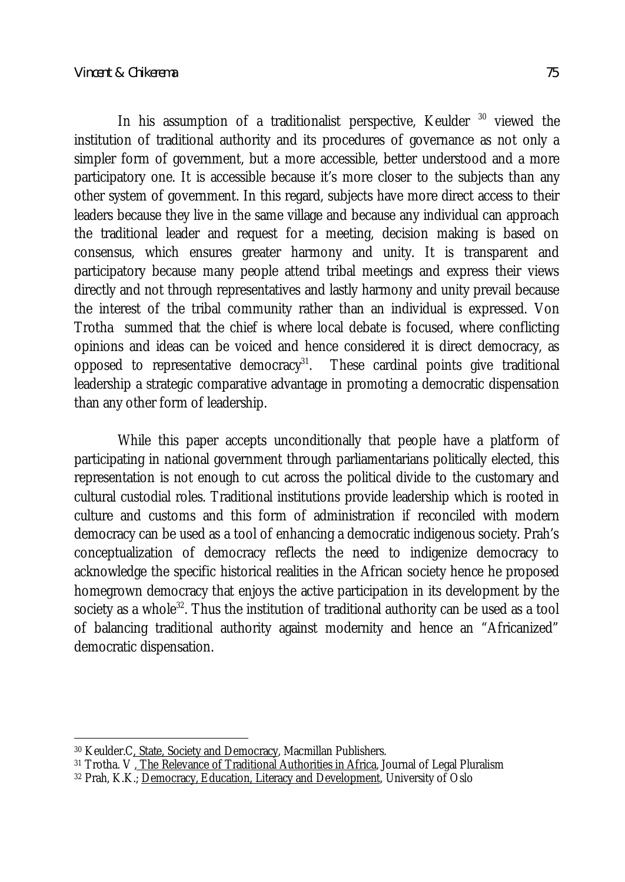In his assumption of a traditionalist perspective, Keulder  $30$  viewed the institution of traditional authority and its procedures of governance as not only a simpler form of government, but a more accessible, better understood and a more participatory one. It is accessible because it's more closer to the subjects than any other system of government. In this regard, subjects have more direct access to their leaders because they live in the same village and because any individual can approach the traditional leader and request for a meeting, decision making is based on consensus, which ensures greater harmony and unity. It is transparent and participatory because many people attend tribal meetings and express their views directly and not through representatives and lastly harmony and unity prevail because the interest of the tribal community rather than an individual is expressed. Von Trotha summed that the chief is where local debate is focused, where conflicting opinions and ideas can be voiced and hence considered it is direct democracy, as opposed to representative democracy $3^1$ . These cardinal points give traditional leadership a strategic comparative advantage in promoting a democratic dispensation than any other form of leadership.

While this paper accepts unconditionally that people have a platform of participating in national government through parliamentarians politically elected, this representation is not enough to cut across the political divide to the customary and cultural custodial roles. Traditional institutions provide leadership which is rooted in culture and customs and this form of administration if reconciled with modern democracy can be used as a tool of enhancing a democratic indigenous society. Prah's conceptualization of democracy reflects the need to indigenize democracy to acknowledge the specific historical realities in the African society hence he proposed homegrown democracy that enjoys the active participation in its development by the society as a whole<sup>32</sup>. Thus the institution of traditional authority can be used as a tool of balancing traditional authority against modernity and hence an "Africanized" democratic dispensation.

 $\overline{\phantom{a}}$ <sup>30</sup> Keulder.C, State, Society and Democracy, Macmillan Publishers.

<sup>31</sup> Trotha. V , The Relevance of Traditional Authorities in Africa, Journal of Legal Pluralism

<sup>32</sup> Prah, K.K.; Democracy, Education, Literacy and Development, University of Oslo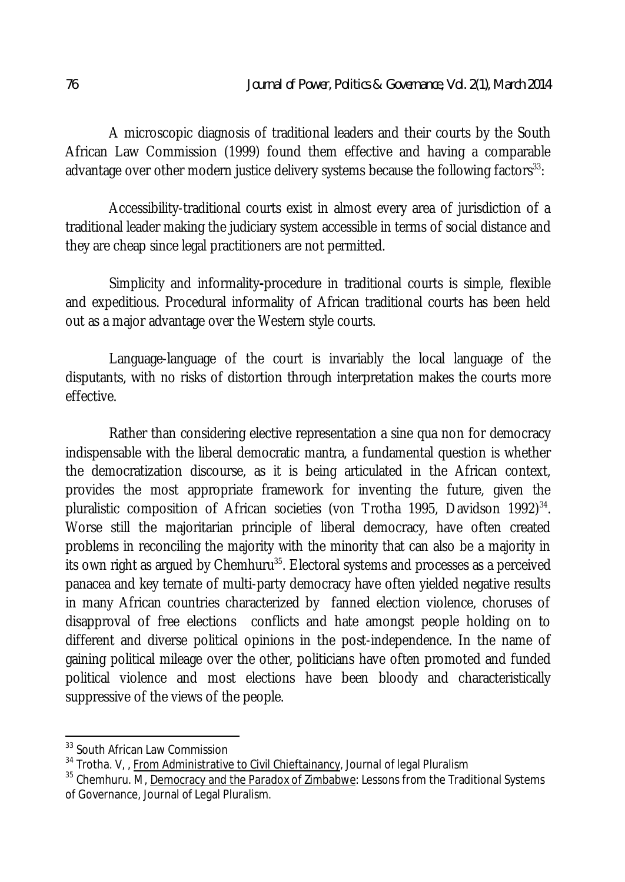A microscopic diagnosis of traditional leaders and their courts by the South African Law Commission (1999) found them effective and having a comparable advantage over other modern justice delivery systems because the following factors $33$ :

Accessibility-traditional courts exist in almost every area of jurisdiction of a traditional leader making the judiciary system accessible in terms of social distance and they are cheap since legal practitioners are not permitted.

Simplicity and informality**-**procedure in traditional courts is simple, flexible and expeditious. Procedural informality of African traditional courts has been held out as a major advantage over the Western style courts.

Language-language of the court is invariably the local language of the disputants, with no risks of distortion through interpretation makes the courts more effective.

Rather than considering elective representation a sine qua non for democracy indispensable with the liberal democratic mantra, a fundamental question is whether the democratization discourse, as it is being articulated in the African context, provides the most appropriate framework for inventing the future, given the pluralistic composition of African societies (von Trotha 1995, Davidson 1992)<sup>34</sup>. Worse still the majoritarian principle of liberal democracy, have often created problems in reconciling the majority with the minority that can also be a majority in its own right as argued by Chemhuru<sup>35</sup>. Electoral systems and processes as a perceived panacea and key ternate of multi-party democracy have often yielded negative results in many African countries characterized by fanned election violence, choruses of disapproval of free elections conflicts and hate amongst people holding on to different and diverse political opinions in the post-independence. In the name of gaining political mileage over the other, politicians have often promoted and funded political violence and most elections have been bloody and characteristically suppressive of the views of the people.

 $\overline{a}$ 

<sup>&</sup>lt;sup>33</sup> South African Law Commission

<sup>&</sup>lt;sup>34</sup> Trotha. V,, From Administrative to Civil Chieftainancy, Journal of legal Pluralism

<sup>&</sup>lt;sup>35</sup> Chemhuru. M, Democracy and the Paradox of Zimbabwe: Lessons from the Traditional Systems of Governance, Journal of Legal Pluralism.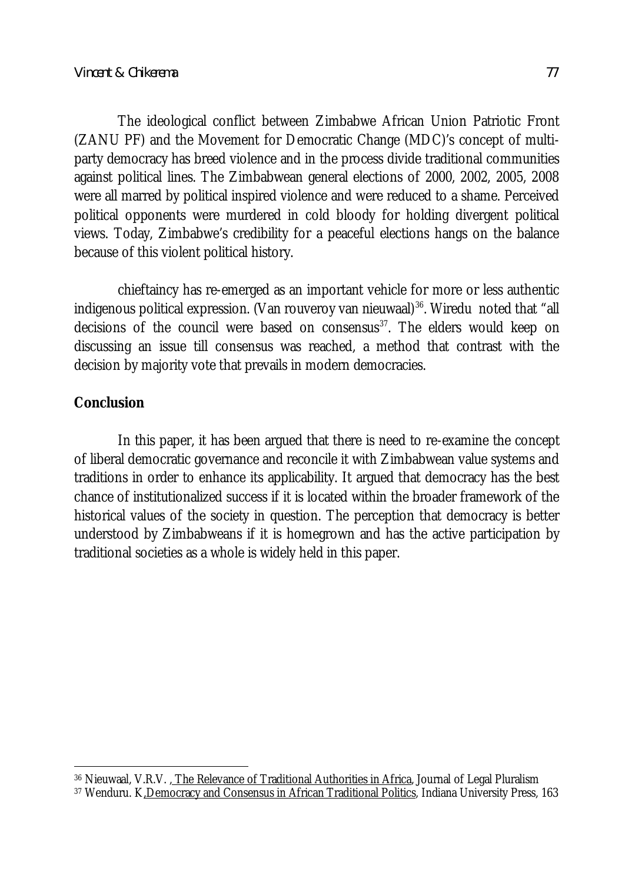The ideological conflict between Zimbabwe African Union Patriotic Front (ZANU PF) and the Movement for Democratic Change (MDC)'s concept of multiparty democracy has breed violence and in the process divide traditional communities against political lines. The Zimbabwean general elections of 2000, 2002, 2005, 2008 were all marred by political inspired violence and were reduced to a shame. Perceived political opponents were murdered in cold bloody for holding divergent political views. Today, Zimbabwe's credibility for a peaceful elections hangs on the balance because of this violent political history.

chieftaincy has re-emerged as an important vehicle for more or less authentic indigenous political expression. (Van rouveroy van nieuwaal) $36$ . Wiredu noted that "all decisions of the council were based on consensus<sup>37</sup>. The elders would keep on discussing an issue till consensus was reached, a method that contrast with the decision by majority vote that prevails in modern democracies.

## **Conclusion**

 $\overline{\phantom{a}}$ 

In this paper, it has been argued that there is need to re-examine the concept of liberal democratic governance and reconcile it with Zimbabwean value systems and traditions in order to enhance its applicability. It argued that democracy has the best chance of institutionalized success if it is located within the broader framework of the historical values of the society in question. The perception that democracy is better understood by Zimbabweans if it is homegrown and has the active participation by traditional societies as a whole is widely held in this paper.

<sup>36</sup> Nieuwaal, V.R.V. , The Relevance of Traditional Authorities in Africa, Journal of Legal Pluralism

<sup>37</sup> Wenduru. K, Democracy and Consensus in African Traditional Politics, Indiana University Press, 163